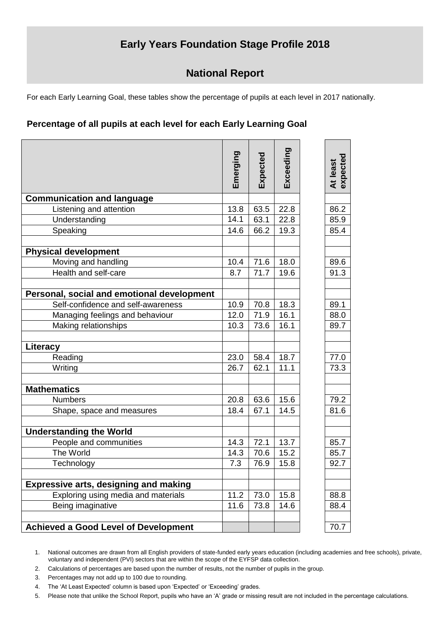# **Early Years Foundation Stage Profile 2018**

# **National Report**

For each Early Learning Goal, these tables show the percentage of pupils at each level in 2017 nationally.

## **Percentage of all pupils at each level for each Early Learning Goal**

|                                              | Emerging | Expected | Exceeding | expected<br>At least |
|----------------------------------------------|----------|----------|-----------|----------------------|
| <b>Communication and language</b>            |          |          |           |                      |
| Listening and attention                      | 13.8     | 63.5     | 22.8      | 86.2                 |
| Understanding                                | 14.1     | 63.1     | 22.8      | 85.9                 |
| Speaking                                     | 14.6     | 66.2     | 19.3      | 85.4                 |
|                                              |          |          |           |                      |
| <b>Physical development</b>                  |          |          |           |                      |
| Moving and handling                          | 10.4     | 71.6     | 18.0      | 89.6                 |
| Health and self-care                         | 8.7      | 71.7     | 19.6      | 91.3                 |
|                                              |          |          |           |                      |
| Personal, social and emotional development   |          |          |           |                      |
| Self-confidence and self-awareness           | 10.9     | 70.8     | 18.3      | 89.1                 |
| Managing feelings and behaviour              | 12.0     | 71.9     | 16.1      | 88.0                 |
| Making relationships                         | 10.3     | 73.6     | 16.1      | 89.7                 |
|                                              |          |          |           |                      |
| Literacy                                     |          |          |           |                      |
| Reading                                      | 23.0     | 58.4     | 18.7      | 77.0                 |
| Writing                                      | 26.7     | 62.1     | 11.1      | 73.3                 |
|                                              |          |          |           |                      |
| <b>Mathematics</b>                           |          |          |           |                      |
| <b>Numbers</b>                               | 20.8     | 63.6     | 15.6      | 79.2                 |
| Shape, space and measures                    | 18.4     | 67.1     | 14.5      | 81.6                 |
|                                              |          |          |           |                      |
| <b>Understanding the World</b>               |          |          |           |                      |
| People and communities                       | 14.3     | 72.1     | 13.7      | 85.7                 |
| The World                                    | 14.3     | 70.6     | 15.2      | 85.7                 |
| Technology                                   | 7.3      | 76.9     | 15.8      | 92.7                 |
| <b>Expressive arts, designing and making</b> |          |          |           |                      |
| Exploring using media and materials          | 11.2     | 73.0     | 15.8      | 88.8                 |
| Being imaginative                            | 11.6     | 73.8     | 14.6      | 88.4                 |
|                                              |          |          |           |                      |
| <b>Achieved a Good Level of Development</b>  |          |          |           | 70.7                 |

1. National outcomes are drawn from all English providers of state-funded early years education (including academies and free schools), private, voluntary and independent (PVI) sectors that are within the scope of the EYFSP data collection.

2. Calculations of percentages are based upon the number of results, not the number of pupils in the group.

3. Percentages may not add up to 100 due to rounding.

4. The 'At Least Expected' column is based upon 'Expected' or 'Exceeding' grades.

5. Please note that unlike the School Report, pupils who have an 'A' grade or missing result are not included in the percentage calculations.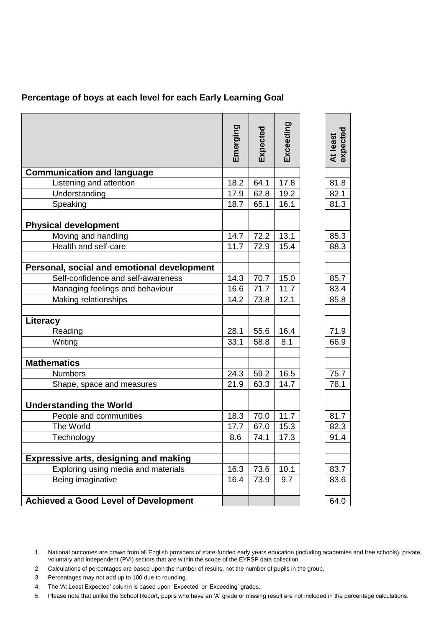## **Percentage of boys at each level for each Early Learning Goal**

|                                              | Emerging | Expected | Exceeding | At least<br>expected |
|----------------------------------------------|----------|----------|-----------|----------------------|
| <b>Communication and language</b>            |          |          |           |                      |
| Listening and attention                      | 18.2     | 64.1     | 17.8      | 81.8                 |
| Understanding                                | 17.9     | 62.8     | 19.2      | 82.1                 |
| Speaking                                     | 18.7     | 65.1     | 16.1      | 81.3                 |
| <b>Physical development</b>                  |          |          |           |                      |
| Moving and handling                          | 14.7     | 72.2     | 13.1      | 85.3                 |
| Health and self-care                         | 11.7     | 72.9     | 15.4      | 88.3                 |
| Personal, social and emotional development   |          |          |           |                      |
| Self-confidence and self-awareness           | 14.3     | 70.7     | 15.0      | 85.7                 |
| Managing feelings and behaviour              | 16.6     | 71.7     | 11.7      | 83.4                 |
| Making relationships                         | 14.2     | 73.8     | 12.1      | 85.8                 |
| Literacy                                     |          |          |           |                      |
| Reading                                      | 28.1     | 55.6     | 16.4      | 71.9                 |
| Writing                                      | 33.1     | 58.8     | 8.1       | 66.9                 |
| <b>Mathematics</b>                           |          |          |           |                      |
| <b>Numbers</b>                               | 24.3     | 59.2     | 16.5      | 75.7                 |
| Shape, space and measures                    | 21.9     | 63.3     | 14.7      | 78.1                 |
| <b>Understanding the World</b>               |          |          |           |                      |
| People and communities                       | 18.3     | 70.0     | 11.7      | 81.7                 |
| The World                                    | 17.7     | 67.0     | 15.3      | 82.3                 |
| Technology                                   | 8.6      | 74.1     | 17.3      | 91.4                 |
| <b>Expressive arts, designing and making</b> |          |          |           |                      |
| Exploring using media and materials          | 16.3     | 73.6     | 10.1      | 83.7                 |
| Being imaginative                            | 16.4     | 73.9     | 9.7       | 83.6                 |
| <b>Achieved a Good Level of Development</b>  |          |          |           | 64.0                 |

- 2. Calculations of percentages are based upon the number of results, not the number of pupils in the group.
- 3. Percentages may not add up to 100 due to rounding.
- 4. The 'At Least Expected' column is based upon 'Expected' or 'Exceeding' grades.
- 5. Please note that unlike the School Report, pupils who have an 'A' grade or missing result are not included in the percentage calculations.

<sup>1.</sup> National outcomes are drawn from all English providers of state-funded early years education (including academies and free schools), private, voluntary and independent (PVI) sectors that are within the scope of the EYFSP data collection.